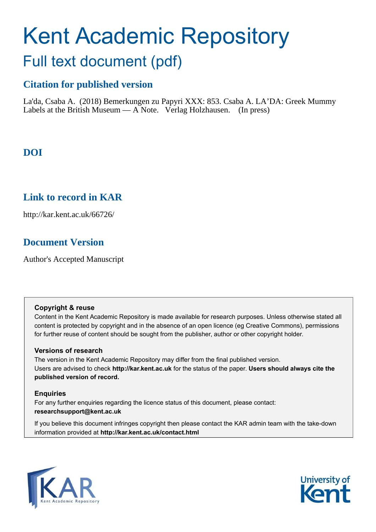# Kent Academic Repository Full text document (pdf)

# **Citation for published version**

La'da, Csaba A. (2018) Bemerkungen zu Papyri XXX: 853. Csaba A. LA'DA: Greek Mummy Labels at the British Museum —  $\overline{A}$  Note. Verlag Holzhausen. (In press)

# **DOI**

# **Link to record in KAR**

http://kar.kent.ac.uk/66726/

# **Document Version**

Author's Accepted Manuscript

## **Copyright & reuse**

Content in the Kent Academic Repository is made available for research purposes. Unless otherwise stated all content is protected by copyright and in the absence of an open licence (eg Creative Commons), permissions for further reuse of content should be sought from the publisher, author or other copyright holder.

## **Versions of research**

The version in the Kent Academic Repository may differ from the final published version. Users are advised to check **http://kar.kent.ac.uk** for the status of the paper. **Users should always cite the published version of record.**

## **Enquiries**

For any further enquiries regarding the licence status of this document, please contact: **researchsupport@kent.ac.uk**

If you believe this document infringes copyright then please contact the KAR admin team with the take-down information provided at **http://kar.kent.ac.uk/contact.html**



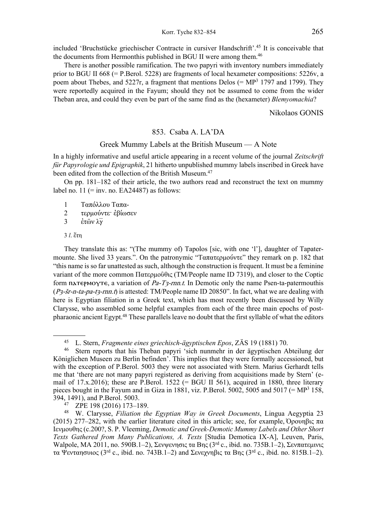included 'Bruchstücke griechischer Contracte in cursiver Handschrift'.<sup>45</sup> It is conceivable that the documents from Hermonthis published in BGU II were among them.<sup>46</sup>

There is another possible ramification. The two papyri with inventory numbers immediately prior to BGU II 668 (= P.Berol. 5228) are fragments of local hexameter compositions:  $5226v$ , a poem about Thebes, and 5227r, a fragment that mentions Delos (=  $MP<sup>3</sup>$  1797 and 1799). They were reportedly acquired in the Fayum; should they not be assumed to come from the wider Theban area, and could they even be part of the same find as the (hexameter) *Blemyomachia*ς

Nikolaos GONIS

## 853. Csaba A. LA'DA

#### Greek Mummy Labels at the British Museum  $- A$  Note

In a highly informative and useful article appearing in a recent volume of the journal *Zeitschrift für Papyrologie und Epigraphik*, 21 hitherto unpublished mummy labels inscribed in Greek have been edited from the collection of the British Museum.<sup>47</sup>

On pp.  $181-182$  of their article, the two authors read and reconstruct the text on mummy label no. 11 (= inv. no.  $EA24487$ ) as follows:

- 1 Ταπόλλου Ταπα-
- 2 τερμούντε έβίωσεν

3  $\dot{\epsilon} \tau \hat{\omega} \nu \lambda \overline{\gamma}$ 

#### 3 *l*. ἔτη

l

They translate this as: "(The mummy of) Tapolos [sic, with one 'l'], daughter of Tapatermounte. She lived 33 years.". On the patronymic "Ταπατερμούντε" they remark on p. 182 that "this name is so far unattested as such, although the construction is frequent. It must be a feminine variant of the more common Πατερμοῦθις (TM/People name ID 7319), and closer to the Coptic form πλετεριώτες, a variation of Pa-T<sub>3</sub>-rnn.t. In Demotic only the name Psen-ta-patermouthis  $(P_3$ -šr-n-ta-pa-t3-rnn.t) is attested: TM/People name ID 20850". In fact, what we are dealing with here is Egyptian filiation in a Greek text, which has most recently been discussed by Willy Clarysse, who assembled some helpful examples from each of the three main epochs of postpharaonic ancient Egypt.<sup>48</sup> These parallels leave no doubt that the first syllable of what the editors

45 L. Stern, *Fragmente eines griechisch-ägyptischen Epos*, ZÄS 19 (1881) 70.

<sup>4</sup>θ Stern reports that his Theban papyri 'sich nunmehr in der ägyptischen Abteilung der Königlichen Museen zu Berlin befinden'. This implies that they were formally accessioned, but with the exception of P.Berol. 5003 they were not associated with Stern. Marius Gerhardt tells me that 'there are not many papyri registered as deriving from acquisitions made by Stern' (email of 17.x.2016); these are P.Berol. 1522 (= BGU II 561), acquired in 1880, three literary pieces bought in the Fayum and in Giza in 1881, viz. P.Berol. 5002, 5005 and 5017 (=  $MP<sup>3</sup>$  158, 394, 1491), and P.Berol. 5003.

<sup>47</sup> ZPE 198 (2016) 173-189.

<sup>&</sup>lt;sup>48</sup> W. Clarysse, *Filiation the Egyptian Way in Greek Documents*, Lingua Aegyptia 23 (2015) 277–282, with the earlier literature cited in this article; see, for example,  $\Omega_{\text{p}}\pi\alpha$ Iενμουθης (c.200?, S. P. Vleeming, *Demotic and Greek-Demotic Mummy Labels and Other Short Texts Gathered from Many Publications, A. Texts* [Studia Demotica IX-A], Leuven, Paris, Walpole, ΜΑ 2011, no. 590B.1–2), Σενψενησις τα Βης (3rd c., ibid. no. 735B.1–2), Σενπατεμινις τα Ψενταησυιος (3<sup>rd</sup> c., ibid. no. 743B.1–2) and Σενεχνηβις τα Βης (3<sup>rd</sup> c., ibid. no. 815B.1–2).